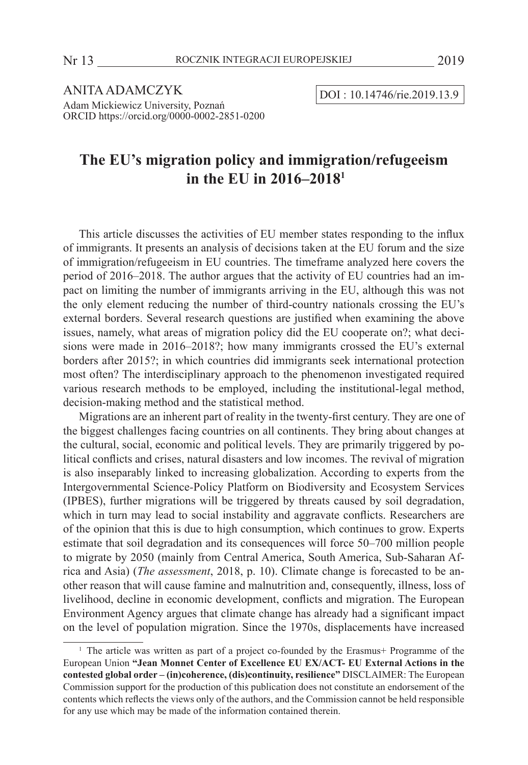ANITA ADAMCZYK  $\overline{DOI : 10.14746/rie.2019.13.9}$ Adam Mickiewicz University, Poznań ORCID https://orcid.org/0000-0002-2851-0200

# **The EU's migration policy and immigration/refugeeism in the EU in 2016–20181**

This article discusses the activities of EU member states responding to the influx of immigrants. It presents an analysis of decisions taken at the EU forum and the size of immigration/refugeeism in EU countries. The timeframe analyzed here covers the period of 2016–2018. The author argues that the activity of EU countries had an impact on limiting the number of immigrants arriving in the EU, although this was not the only element reducing the number of third-country nationals crossing the EU's external borders. Several research questions are justified when examining the above issues, namely, what areas of migration policy did the EU cooperate on?; what decisions were made in 2016–2018?; how many immigrants crossed the EU's external borders after 2015?; in which countries did immigrants seek international protection most often? The interdisciplinary approach to the phenomenon investigated required various research methods to be employed, including the institutional-legal method, decision-making method and the statistical method.

Migrations are an inherent part of reality in the twenty-first century. They are one of the biggest challenges facing countries on all continents. They bring about changes at the cultural, social, economic and political levels. They are primarily triggered by political conflicts and crises, natural disasters and low incomes. The revival of migration is also inseparably linked to increasing globalization. According to experts from the Intergovernmental Science*-*Policy Platform on Biodiversity and Ecosystem Services (IPBES), further migrations will be triggered by threats caused by soil degradation, which in turn may lead to social instability and aggravate conflicts. Researchers are of the opinion that this is due to high consumption, which continues to grow. Experts estimate that soil degradation and its consequences will force 50–700 million people to migrate by 2050 (mainly from Central America, South America, Sub-Saharan Africa and Asia) (*The assessment*, 2018, p. 10). Climate change is forecasted to be another reason that will cause famine and malnutrition and, consequently, illness, loss of livelihood, decline in economic development, conflicts and migration. The European Environment Agency argues that climate change has already had a significant impact on the level of population migration. Since the 1970s, displacements have increased

<sup>1</sup> The article was written as part of a project co-founded by the Erasmus+ Programme of the European Union **"Jean Monnet Center of Excellence EU EX/ACT- EU External Actions in the contested global order – (in)coherence, (dis)continuity, resilience"** DISCLAIMER: The European Commission support for the production of this publication does not constitute an endorsement of the contents which reflects the views only of the authors, and the Commission cannot be held responsible for any use which may be made of the information contained therein.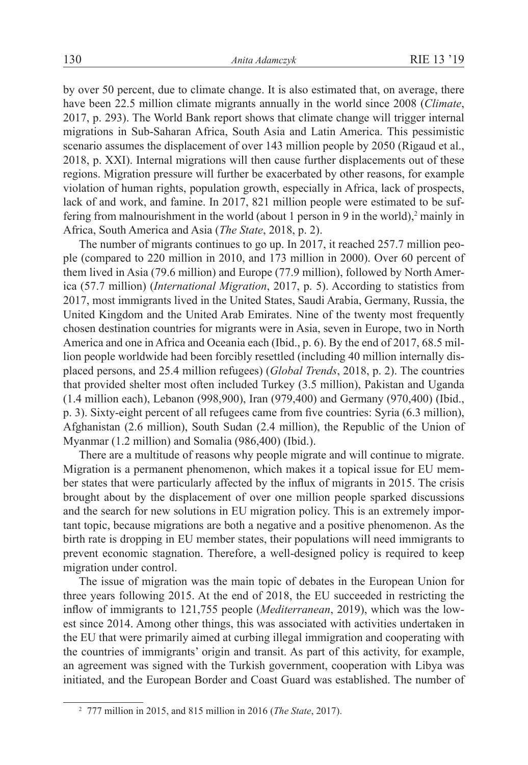by over 50 percent, due to climate change. It is also estimated that, on average, there have been 22.5 million climate migrants annually in the world since 2008 (*Climate*, 2017, p. 293). The World Bank report shows that climate change will trigger internal migrations in Sub-Saharan Africa, South Asia and Latin America. This pessimistic scenario assumes the displacement of over 143 million people by 2050 (Rigaud et al., 2018, p. XXI). Internal migrations will then cause further displacements out of these regions. Migration pressure will further be exacerbated by other reasons, for example violation of human rights, population growth, especially in Africa, lack of prospects, lack of and work, and famine. In 2017, 821 million people were estimated to be suffering from malnourishment in the world (about 1 person in 9 in the world), $2$  mainly in Africa, South America and Asia (*The State*, 2018, p. 2).

The number of migrants continues to go up. In 2017, it reached 257.7 million people (compared to 220 million in 2010, and 173 million in 2000). Over 60 percent of them lived in Asia (79.6 million) and Europe (77.9 million), followed by North America (57.7 million) (*International Migration*, 2017, p. 5). According to statistics from 2017, most immigrants lived in the United States, Saudi Arabia, Germany, Russia, the United Kingdom and the United Arab Emirates. Nine of the twenty most frequently chosen destination countries for migrants were in Asia, seven in Europe, two in North America and one in Africa and Oceania each (Ibid., p. 6). By the end of 2017, 68.5 million people worldwide had been forcibly resettled (including 40 million internally displaced persons, and 25.4 million refugees) (*Global Trends*, 2018, p. 2). The countries that provided shelter most often included Turkey (3.5 million), Pakistan and Uganda (1.4 million each), Lebanon (998,900), Iran (979,400) and Germany (970,400) (Ibid., p. 3). Sixty-eight percent of all refugees came from five countries: Syria (6.3 million), Afghanistan (2.6 million), South Sudan (2.4 million), the Republic of the Union of Myanmar (1.2 million) and Somalia (986,400) (Ibid.).

There are a multitude of reasons why people migrate and will continue to migrate. Migration is a permanent phenomenon, which makes it a topical issue for EU member states that were particularly affected by the influx of migrants in 2015. The crisis brought about by the displacement of over one million people sparked discussions and the search for new solutions in EU migration policy. This is an extremely important topic, because migrations are both a negative and a positive phenomenon. As the birth rate is dropping in EU member states, their populations will need immigrants to prevent economic stagnation. Therefore, a well-designed policy is required to keep migration under control.

The issue of migration was the main topic of debates in the European Union for three years following 2015. At the end of 2018, the EU succeeded in restricting the inflow of immigrants to 121,755 people (*Mediterranean*, 2019), which was the lowest since 2014. Among other things, this was associated with activities undertaken in the EU that were primarily aimed at curbing illegal immigration and cooperating with the countries of immigrants' origin and transit. As part of this activity, for example, an agreement was signed with the Turkish government, cooperation with Libya was initiated, and the European Border and Coast Guard was established. The number of

<sup>2</sup> 777 million in 2015, and 815 million in 2016 (*The State*, 2017).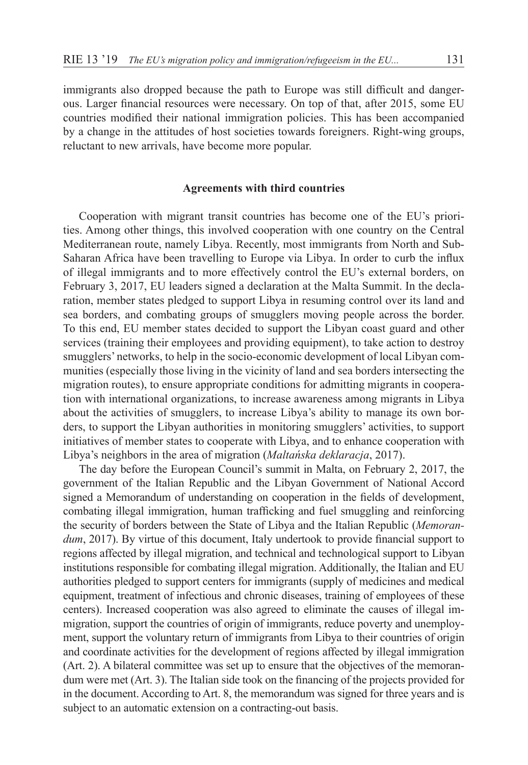immigrants also dropped because the path to Europe was still difficult and dangerous. Larger financial resources were necessary. On top of that, after 2015, some EU countries modified their national immigration policies. This has been accompanied by a change in the attitudes of host societies towards foreigners. Right-wing groups, reluctant to new arrivals, have become more popular.

### **Agreements with third countries**

Cooperation with migrant transit countries has become one of the EU's priorities. Among other things, this involved cooperation with one country on the Central Mediterranean route, namely Libya. Recently, most immigrants from North and Sub-Saharan Africa have been travelling to Europe via Libya. In order to curb the influx of illegal immigrants and to more effectively control the EU's external borders, on February 3, 2017, EU leaders signed a declaration at the Malta Summit. In the declaration, member states pledged to support Libya in resuming control over its land and sea borders, and combating groups of smugglers moving people across the border. To this end, EU member states decided to support the Libyan coast guard and other services (training their employees and providing equipment), to take action to destroy smugglers' networks, to help in the socio-economic development of local Libyan communities (especially those living in the vicinity of land and sea borders intersecting the migration routes), to ensure appropriate conditions for admitting migrants in cooperation with international organizations, to increase awareness among migrants in Libya about the activities of smugglers, to increase Libya's ability to manage its own borders, to support the Libyan authorities in monitoring smugglers' activities, to support initiatives of member states to cooperate with Libya, and to enhance cooperation with Libya's neighbors in the area of migration (*Maltańska deklaracja*, 2017).

The day before the European Council's summit in Malta, on February 2, 2017, the government of the Italian Republic and the Libyan Government of National Accord signed a Memorandum of understanding on cooperation in the fields of development, combating illegal immigration, human trafficking and fuel smuggling and reinforcing the security of borders between the State of Libya and the Italian Republic (*Memorandum*, 2017). By virtue of this document, Italy undertook to provide financial support to regions affected by illegal migration, and technical and technological support to Libyan institutions responsible for combating illegal migration. Additionally, the Italian and EU authorities pledged to support centers for immigrants (supply of medicines and medical equipment, treatment of infectious and chronic diseases, training of employees of these centers). Increased cooperation was also agreed to eliminate the causes of illegal immigration, support the countries of origin of immigrants, reduce poverty and unemployment, support the voluntary return of immigrants from Libya to their countries of origin and coordinate activities for the development of regions affected by illegal immigration (Art. 2). A bilateral committee was set up to ensure that the objectives of the memorandum were met (Art. 3). The Italian side took on the financing of the projects provided for in the document. According to Art. 8, the memorandum was signed for three years and is subject to an automatic extension on a contracting-out basis.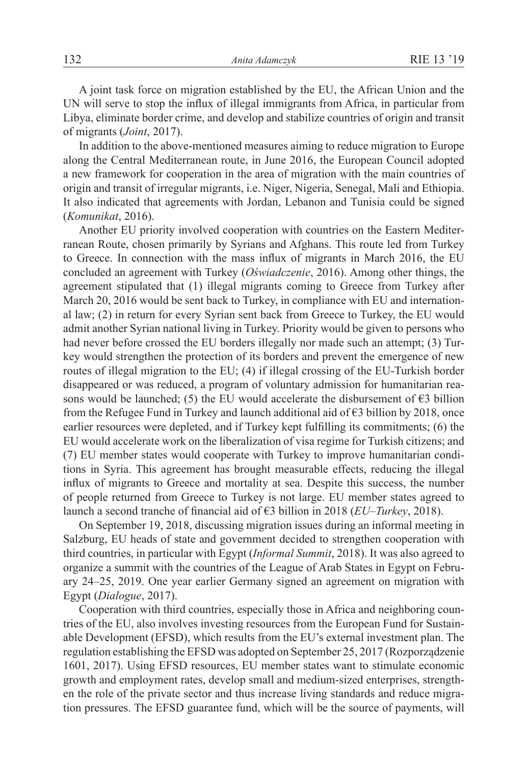A joint task force on migration established by the EU, the African Union and the UN will serve to stop the influx of illegal immigrants from Africa, in particular from Libya, eliminate border crime, and develop and stabilize countries of origin and transit of migrants (*Joint*, 2017).

In addition to the above-mentioned measures aiming to reduce migration to Europe along the Central Mediterranean route, in June 2016, the European Council adopted a new framework for cooperation in the area of migration with the main countries of origin and transit of irregular migrants, i.e. Niger, Nigeria, Senegal, Mali and Ethiopia. It also indicated that agreements with Jordan, Lebanon and Tunisia could be signed (*Komunikat*, 2016).

Another EU priority involved cooperation with countries on the Eastern Mediterranean Route, chosen primarily by Syrians and Afghans. This route led from Turkey to Greece. In connection with the mass influx of migrants in March 2016, the EU concluded an agreement with Turkey (*Oświadczenie*, 2016). Among other things, the agreement stipulated that (1) illegal migrants coming to Greece from Turkey after March 20, 2016 would be sent back to Turkey, in compliance with EU and international law; (2) in return for every Syrian sent back from Greece to Turkey, the EU would admit another Syrian national living in Turkey. Priority would be given to persons who had never before crossed the EU borders illegally nor made such an attempt; (3) Turkey would strengthen the protection of its borders and prevent the emergence of new routes of illegal migration to the EU; (4) if illegal crossing of the EU-Turkish border disappeared or was reduced, a program of voluntary admission for humanitarian reasons would be launched; (5) the EU would accelerate the disbursement of  $\epsilon$ 3 billion from the Refugee Fund in Turkey and launch additional aid of  $\epsilon$ 3 billion by 2018, once earlier resources were depleted, and if Turkey kept fulfilling its commitments; (6) the EU would accelerate work on the liberalization of visa regime for Turkish citizens; and (7) EU member states would cooperate with Turkey to improve humanitarian conditions in Syria. This agreement has brought measurable effects, reducing the illegal influx of migrants to Greece and mortality at sea. Despite this success, the number of people returned from Greece to Turkey is not large. EU member states agreed to launch a second tranche of financial aid of €3 billion in 2018 (*EU–Turkey*, 2018).

On September 19, 2018, discussing migration issues during an informal meeting in Salzburg, EU heads of state and government decided to strengthen cooperation with third countries, in particular with Egypt (*Informal Summit*, 2018). It was also agreed to organize a summit with the countries of the League of Arab States in Egypt on February 24–25, 2019. One year earlier Germany signed an agreement on migration with Egypt (*Dialogue*, 2017).

Cooperation with third countries, especially those in Africa and neighboring countries of the EU, also involves investing resources from the European Fund for Sustainable Development (EFSD), which results from the EU's external investment plan. The regulation establishing the EFSD was adopted on September 25, 2017 (Rozporządzenie 1601, 2017). Using EFSD resources, EU member states want to stimulate economic growth and employment rates, develop small and medium-sized enterprises, strengthen the role of the private sector and thus increase living standards and reduce migration pressures. The EFSD guarantee fund, which will be the source of payments, will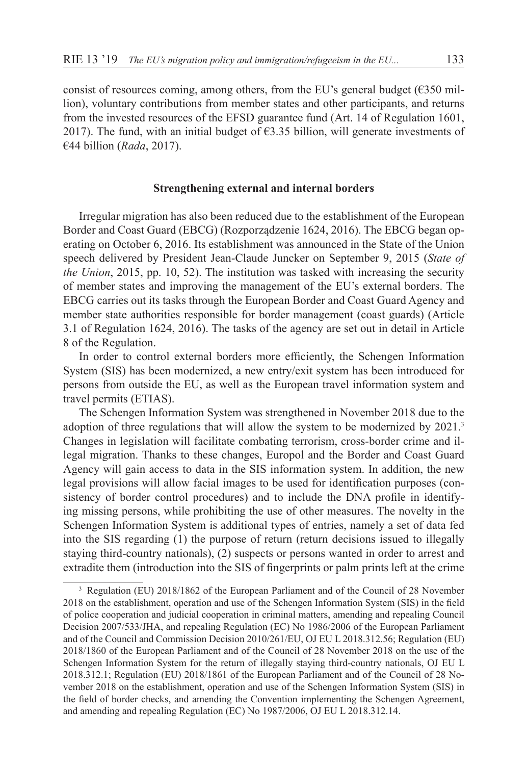consist of resources coming, among others, from the EU's general budget ( $6350$  million), voluntary contributions from member states and other participants, and returns from the invested resources of the EFSD guarantee fund (Art. 14 of Regulation 1601, 2017). The fund, with an initial budget of  $63.35$  billion, will generate investments of €44 billion (*Rada*, 2017).

## **Strengthening external and internal borders**

Irregular migration has also been reduced due to the establishment of the European Border and Coast Guard (EBCG) (Rozporządzenie 1624, 2016). The EBCG began operating on October 6, 2016. Its establishment was announced in the State of the Union speech delivered by President Jean-Claude Juncker on September 9, 2015 (*State of the Union*, 2015, pp. 10, 52). The institution was tasked with increasing the security of member states and improving the management of the EU's external borders. The EBCG carries out its tasks through the European Border and Coast Guard Agency and member state authorities responsible for border management (coast guards) (Article 3.1 of Regulation 1624, 2016). The tasks of the agency are set out in detail in Article 8 of the Regulation.

In order to control external borders more efficiently, the Schengen Information System (SIS) has been modernized, a new entry/exit system has been introduced for persons from outside the EU, as well as the European travel information system and travel permits (ETIAS).

The Schengen Information System was strengthened in November 2018 due to the adoption of three regulations that will allow the system to be modernized by 2021.<sup>3</sup> Changes in legislation will facilitate combating terrorism, cross-border crime and illegal migration. Thanks to these changes, Europol and the Border and Coast Guard Agency will gain access to data in the SIS information system. In addition, the new legal provisions will allow facial images to be used for identification purposes (consistency of border control procedures) and to include the DNA profile in identifying missing persons, while prohibiting the use of other measures. The novelty in the Schengen Information System is additional types of entries, namely a set of data fed into the SIS regarding (1) the purpose of return (return decisions issued to illegally staying third-country nationals), (2) suspects or persons wanted in order to arrest and extradite them (introduction into the SIS of fingerprints or palm prints left at the crime

<sup>&</sup>lt;sup>3</sup> Regulation (EU) 2018/1862 of the European Parliament and of the Council of 28 November 2018 on the establishment, operation and use of the Schengen Information System (SIS) in the field of police cooperation and judicial cooperation in criminal matters, amending and repealing Council Decision 2007/533/JHA, and repealing Regulation (EC) No 1986/2006 of the European Parliament and of the Council and Commission Decision 2010/261/EU, OJ EU L 2018.312.56; Regulation (EU) 2018/1860 of the European Parliament and of the Council of 28 November 2018 on the use of the Schengen Information System for the return of illegally staying third-country nationals, OJ EU L 2018.312.1; Regulation (EU) 2018/1861 of the European Parliament and of the Council of 28 November 2018 on the establishment, operation and use of the Schengen Information System (SIS) in the field of border checks, and amending the Convention implementing the Schengen Agreement, and amending and repealing Regulation (EC) No 1987/2006, OJ EU L 2018.312.14.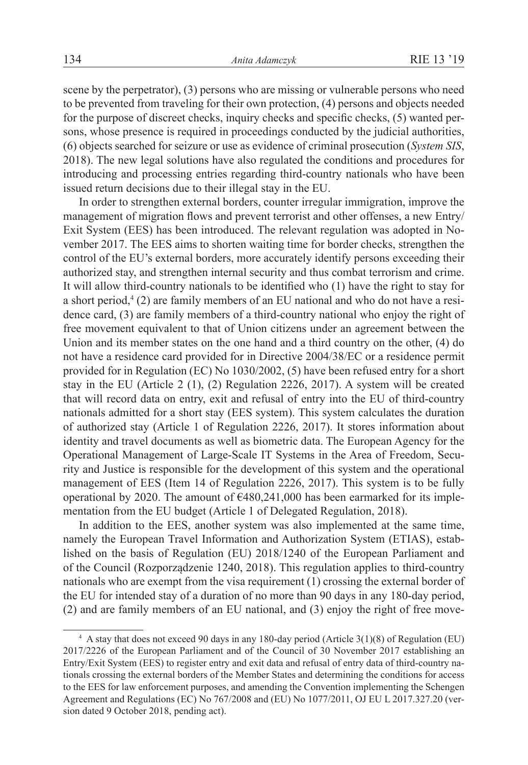scene by the perpetrator), (3) persons who are missing or vulnerable persons who need to be prevented from traveling for their own protection, (4) persons and objects needed for the purpose of discreet checks, inquiry checks and specific checks, (5) wanted persons, whose presence is required in proceedings conducted by the judicial authorities, (6) objects searched for seizure or use as evidence of criminal prosecution (*System SIS*, 2018). The new legal solutions have also regulated the conditions and procedures for introducing and processing entries regarding third-country nationals who have been issued return decisions due to their illegal stay in the EU.

In order to strengthen external borders, counter irregular immigration, improve the management of migration flows and prevent terrorist and other offenses, a new Entry/ Exit System (EES) has been introduced. The relevant regulation was adopted in November 2017. The EES aims to shorten waiting time for border checks, strengthen the control of the EU's external borders, more accurately identify persons exceeding their authorized stay, and strengthen internal security and thus combat terrorism and crime. It will allow third-country nationals to be identified who (1) have the right to stay for a short period,<sup>4</sup> (2) are family members of an EU national and who do not have a residence card, (3) are family members of a third-country national who enjoy the right of free movement equivalent to that of Union citizens under an agreement between the Union and its member states on the one hand and a third country on the other, (4) do not have a residence card provided for in Directive 2004/38/EC or a residence permit provided for in Regulation (EC) No 1030/2002, (5) have been refused entry for a short stay in the EU (Article 2 (1), (2) Regulation 2226, 2017). A system will be created that will record data on entry, exit and refusal of entry into the EU of third-country nationals admitted for a short stay (EES system). This system calculates the duration of authorized stay (Article 1 of Regulation 2226, 2017). It stores information about identity and travel documents as well as biometric data. The European Agency for the Operational Management of Large-Scale IT Systems in the Area of Freedom, Security and Justice is responsible for the development of this system and the operational management of EES (Item 14 of Regulation 2226, 2017). This system is to be fully operational by 2020. The amount of  $\epsilon$ 480,241,000 has been earmarked for its implementation from the EU budget (Article 1 of Delegated Regulation, 2018).

In addition to the EES, another system was also implemented at the same time, namely the European Travel Information and Authorization System (ETIAS), established on the basis of Regulation (EU) 2018/1240 of the European Parliament and of the Council (Rozporządzenie 1240, 2018). This regulation applies to third-country nationals who are exempt from the visa requirement (1) crossing the external border of the EU for intended stay of a duration of no more than 90 days in any 180-day period, (2) and are family members of an EU national, and (3) enjoy the right of free move-

<sup>4</sup> A stay that does not exceed 90 days in any 180-day period (Article 3(1)(8) of Regulation (EU) 2017/2226 of the European Parliament and of the Council of 30 November 2017 establishing an Entry/Exit System (EES) to register entry and exit data and refusal of entry data of third-country nationals crossing the external borders of the Member States and determining the conditions for access to the EES for law enforcement purposes, and amending the Convention implementing the Schengen Agreement and Regulations (EC) No 767/2008 and (EU) No 1077/2011, OJ EU L 2017.327.20 (version dated 9 October 2018, pending act).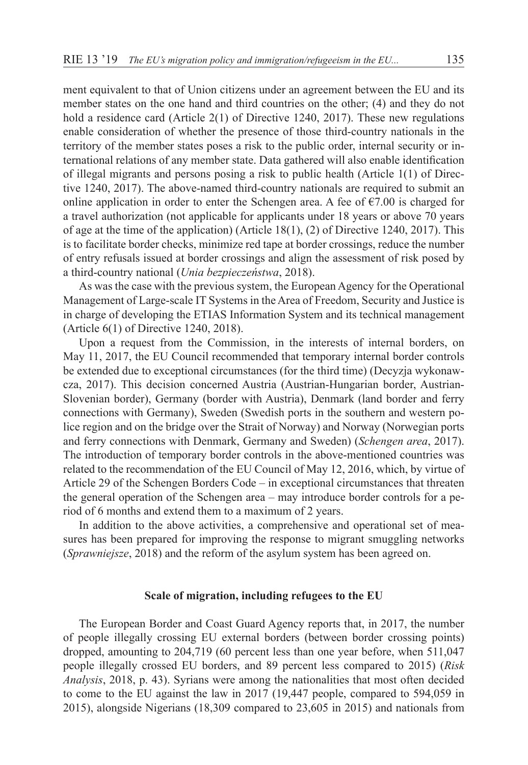ment equivalent to that of Union citizens under an agreement between the EU and its member states on the one hand and third countries on the other; (4) and they do not hold a residence card (Article 2(1) of Directive 1240, 2017). These new regulations enable consideration of whether the presence of those third-country nationals in the territory of the member states poses a risk to the public order, internal security or international relations of any member state. Data gathered will also enable identification of illegal migrants and persons posing a risk to public health (Article 1(1) of Directive 1240, 2017). The above-named third-country nationals are required to submit an online application in order to enter the Schengen area. A fee of  $\epsilon$ 7.00 is charged for a travel authorization (not applicable for applicants under 18 years or above 70 years of age at the time of the application) (Article 18(1), (2) of Directive 1240, 2017). This is to facilitate border checks, minimize red tape at border crossings, reduce the number of entry refusals issued at border crossings and align the assessment of risk posed by a third-country national (*Unia bezpieczeństwa*, 2018).

As was the case with the previous system, the European Agency for the Operational Management of Large-scale IT Systems in the Area of Freedom, Security and Justice is in charge of developing the ETIAS Information System and its technical management (Article 6(1) of Directive 1240, 2018).

Upon a request from the Commission, in the interests of internal borders, on May 11, 2017, the EU Council recommended that temporary internal border controls be extended due to exceptional circumstances (for the third time) (Decyzja wykonawcza, 2017). This decision concerned Austria (Austrian-Hungarian border, Austrian-Slovenian border), Germany (border with Austria), Denmark (land border and ferry connections with Germany), Sweden (Swedish ports in the southern and western police region and on the bridge over the Strait of Norway) and Norway (Norwegian ports and ferry connections with Denmark, Germany and Sweden) (*Schengen area*, 2017). The introduction of temporary border controls in the above-mentioned countries was related to the recommendation of the EU Council of May 12, 2016, which, by virtue of Article 29 of the Schengen Borders Code – in exceptional circumstances that threaten the general operation of the Schengen area – may introduce border controls for a period of 6 months and extend them to a maximum of 2 years.

In addition to the above activities, a comprehensive and operational set of measures has been prepared for improving the response to migrant smuggling networks (*Sprawniejsze*, 2018) and the reform of the asylum system has been agreed on.

#### **Scale of migration, including refugees to the EU**

The European Border and Coast Guard Agency reports that, in 2017, the number of people illegally crossing EU external borders (between border crossing points) dropped, amounting to 204,719 (60 percent less than one year before, when 511,047 people illegally crossed EU borders, and 89 percent less compared to 2015) (*Risk Analysis*, 2018, p. 43). Syrians were among the nationalities that most often decided to come to the EU against the law in 2017 (19,447 people, compared to 594,059 in 2015), alongside Nigerians (18,309 compared to 23,605 in 2015) and nationals from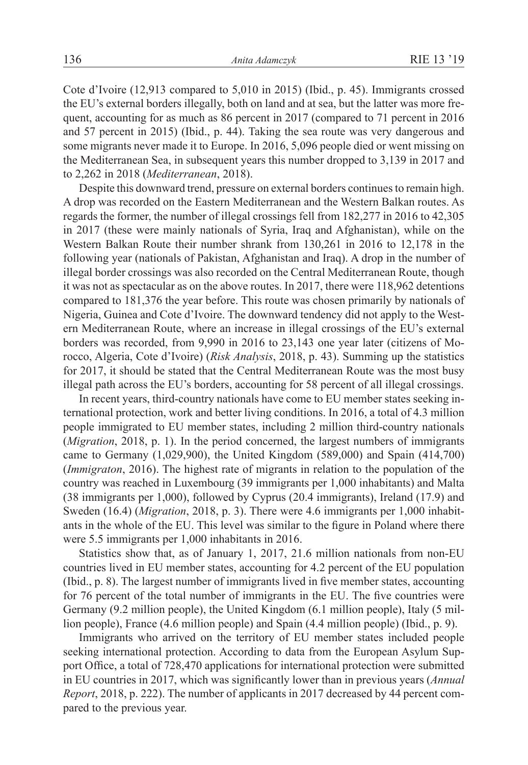Cote d'Ivoire (12,913 compared to 5,010 in 2015) (Ibid., p. 45). Immigrants crossed the EU's external borders illegally, both on land and at sea, but the latter was more frequent, accounting for as much as 86 percent in 2017 (compared to 71 percent in 2016 and 57 percent in 2015) (Ibid., p. 44). Taking the sea route was very dangerous and some migrants never made it to Europe. In 2016, 5,096 people died or went missing on the Mediterranean Sea, in subsequent years this number dropped to 3,139 in 2017 and to 2,262 in 2018 (*Mediterranean*, 2018).

Despite this downward trend, pressure on external borders continues to remain high. A drop was recorded on the Eastern Mediterranean and the Western Balkan routes. As regards the former, the number of illegal crossings fell from 182,277 in 2016 to 42,305 in 2017 (these were mainly nationals of Syria, Iraq and Afghanistan), while on the Western Balkan Route their number shrank from 130,261 in 2016 to 12,178 in the following year (nationals of Pakistan, Afghanistan and Iraq). A drop in the number of illegal border crossings was also recorded on the Central Mediterranean Route, though it was not as spectacular as on the above routes. In 2017, there were 118,962 detentions compared to 181,376 the year before. This route was chosen primarily by nationals of Nigeria, Guinea and Cote d'Ivoire. The downward tendency did not apply to the Western Mediterranean Route, where an increase in illegal crossings of the EU's external borders was recorded, from 9,990 in 2016 to 23,143 one year later (citizens of Morocco, Algeria, Cote d'Ivoire) (*Risk Analysis*, 2018, p. 43). Summing up the statistics for 2017, it should be stated that the Central Mediterranean Route was the most busy illegal path across the EU's borders, accounting for 58 percent of all illegal crossings.

In recent years, third-country nationals have come to EU member states seeking international protection, work and better living conditions. In 2016, a total of 4.3 million people immigrated to EU member states, including 2 million third-country nationals (*Migration*, 2018, p. 1). In the period concerned, the largest numbers of immigrants came to Germany (1,029,900), the United Kingdom (589,000) and Spain (414,700) (*Immigraton*, 2016). The highest rate of migrants in relation to the population of the country was reached in Luxembourg (39 immigrants per 1,000 inhabitants) and Malta (38 immigrants per 1,000), followed by Cyprus (20.4 immigrants), Ireland (17.9) and Sweden (16.4) (*Migration*, 2018, p. 3). There were 4.6 immigrants per 1,000 inhabitants in the whole of the EU. This level was similar to the figure in Poland where there were 5.5 immigrants per 1,000 inhabitants in 2016.

Statistics show that, as of January 1, 2017, 21.6 million nationals from non-EU countries lived in EU member states, accounting for 4.2 percent of the EU population (Ibid., p. 8). The largest number of immigrants lived in five member states, accounting for 76 percent of the total number of immigrants in the EU. The five countries were Germany (9.2 million people), the United Kingdom (6.1 million people), Italy (5 million people), France (4.6 million people) and Spain (4.4 million people) (Ibid., p. 9).

Immigrants who arrived on the territory of EU member states included people seeking international protection. According to data from the European Asylum Support Office, a total of 728,470 applications for international protection were submitted in EU countries in 2017, which was significantly lower than in previous years (*Annual Report*, 2018, p. 222). The number of applicants in 2017 decreased by 44 percent compared to the previous year.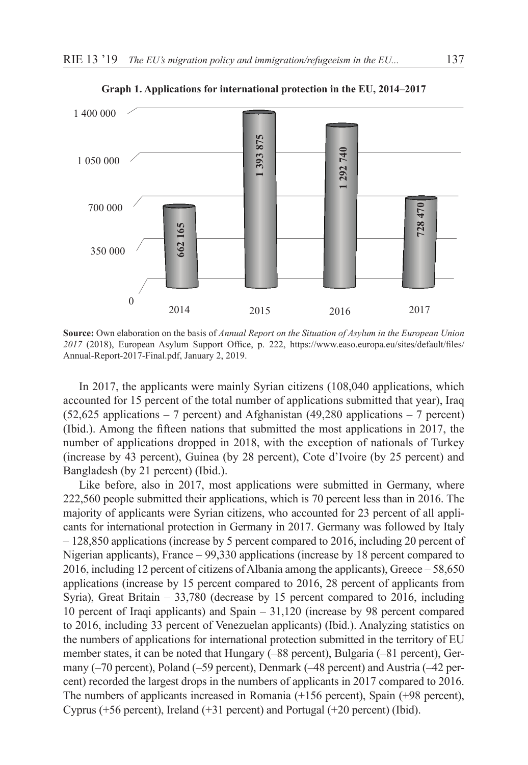

**Graph 1. Applications for international protection in the EU, 2014–2017**

**Source:** Own elaboration on the basis of *Annual Report on the Situation of Asylum in the European Union 2017* (2018), European Asylum Support Office, p. 222, https://www.easo.europa.eu/sites/default/files/ Annual-Report-2017-Final.pdf, January 2, 2019.

In 2017, the applicants were mainly Syrian citizens (108,040 applications, which accounted for 15 percent of the total number of applications submitted that year), Iraq  $(52.625 \text{ applications} - 7 \text{ percent})$  and Afghanistan  $(49.280 \text{ applications} - 7 \text{ percent})$ (Ibid.). Among the fifteen nations that submitted the most applications in 2017, the number of applications dropped in 2018, with the exception of nationals of Turkey (increase by 43 percent), Guinea (by 28 percent), Cote d'Ivoire (by 25 percent) and Bangladesh (by 21 percent) (Ibid.).

Like before, also in 2017, most applications were submitted in Germany, where 222,560 people submitted their applications, which is 70 percent less than in 2016. The majority of applicants were Syrian citizens, who accounted for 23 percent of all applicants for international protection in Germany in 2017. Germany was followed by Italy – 128,850 applications (increase by 5 percent compared to 2016, including 20 percent of Nigerian applicants), France – 99,330 applications (increase by 18 percent compared to 2016, including 12 percent of citizens of Albania among the applicants), Greece – 58,650 applications (increase by 15 percent compared to 2016, 28 percent of applicants from Syria), Great Britain – 33,780 (decrease by 15 percent compared to 2016, including 10 percent of Iraqi applicants) and Spain – 31,120 (increase by 98 percent compared to 2016, including 33 percent of Venezuelan applicants) (Ibid.). Analyzing statistics on the numbers of applications for international protection submitted in the territory of EU member states, it can be noted that Hungary (–88 percent), Bulgaria (–81 percent), Germany (–70 percent), Poland (–59 percent), Denmark (–48 percent) and Austria (–42 percent) recorded the largest drops in the numbers of applicants in 2017 compared to 2016. The numbers of applicants increased in Romania (+156 percent), Spain (+98 percent), Cyprus (+56 percent), Ireland (+31 percent) and Portugal (+20 percent) (Ibid).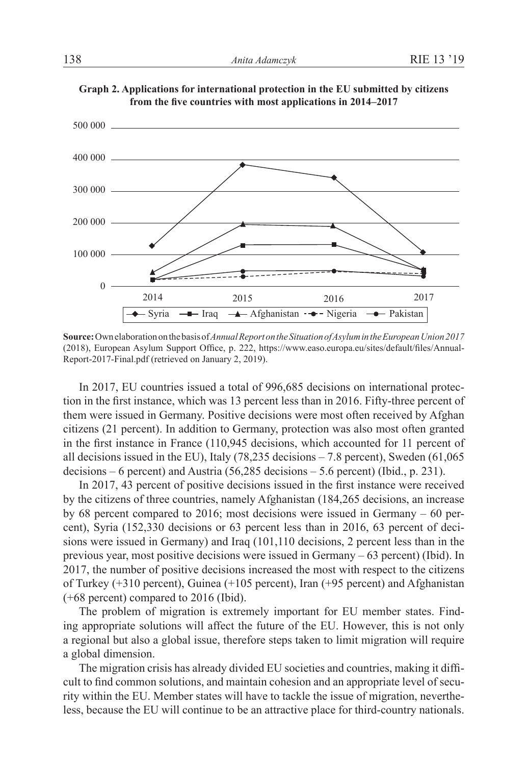

**Graph 2. Applications for international protection in the EU submitted by citizens from the five countries with most applications in 2014–2017**

**Source:** Own elaboration on the basis of *Annual Report on the Situation of Asylum in the European Union 2017* (2018), European Asylum Support Office, p. 222, https://www.easo.europa.eu/sites/default/files/Annual-Report-2017-Final.pdf (retrieved on January 2, 2019).

In 2017, EU countries issued a total of 996,685 decisions on international protection in the first instance, which was 13 percent less than in 2016. Fifty-three percent of them were issued in Germany. Positive decisions were most often received by Afghan citizens (21 percent). In addition to Germany, protection was also most often granted in the first instance in France (110,945 decisions, which accounted for 11 percent of all decisions issued in the EU), Italy (78,235 decisions – 7.8 percent), Sweden (61,065 decisions – 6 percent) and Austria (56,285 decisions – 5.6 percent) (Ibid., p. 231).

In 2017, 43 percent of positive decisions issued in the first instance were received by the citizens of three countries, namely Afghanistan (184,265 decisions, an increase by 68 percent compared to 2016; most decisions were issued in Germany – 60 percent), Syria (152,330 decisions or 63 percent less than in 2016, 63 percent of decisions were issued in Germany) and Iraq (101,110 decisions, 2 percent less than in the previous year, most positive decisions were issued in Germany – 63 percent) (Ibid). In 2017, the number of positive decisions increased the most with respect to the citizens of Turkey (+310 percent), Guinea (+105 percent), Iran (+95 percent) and Afghanistan (+68 percent) compared to 2016 (Ibid).

The problem of migration is extremely important for EU member states. Finding appropriate solutions will affect the future of the EU. However, this is not only a regional but also a global issue, therefore steps taken to limit migration will require a global dimension.

The migration crisis has already divided EU societies and countries, making it difficult to find common solutions, and maintain cohesion and an appropriate level of security within the EU. Member states will have to tackle the issue of migration, nevertheless, because the EU will continue to be an attractive place for third-country nationals.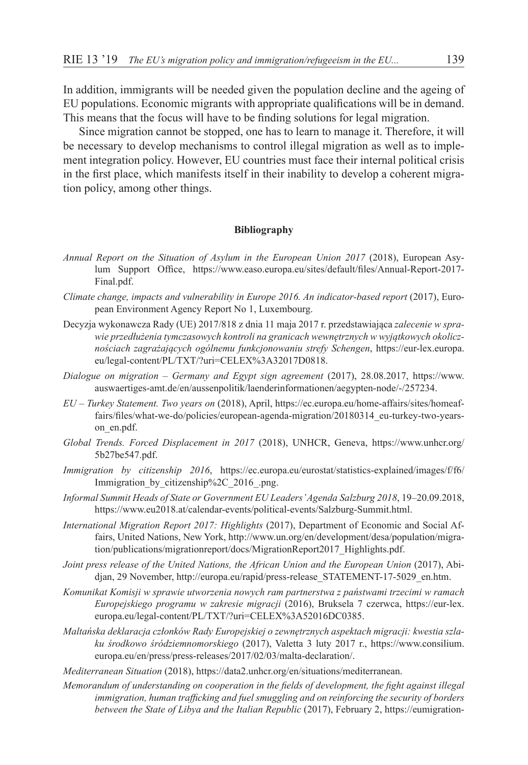In addition, immigrants will be needed given the population decline and the ageing of EU populations. Economic migrants with appropriate qualifications will be in demand. This means that the focus will have to be finding solutions for legal migration.

Since migration cannot be stopped, one has to learn to manage it. Therefore, it will be necessary to develop mechanisms to control illegal migration as well as to implement integration policy. However, EU countries must face their internal political crisis in the first place, which manifests itself in their inability to develop a coherent migration policy, among other things.

#### **Bibliography**

- *Annual Report on the Situation of Asylum in the European Union 2017* (2018), European Asylum Support Office, https://www.easo.europa.eu/sites/default/files/Annual-Report-2017- Final.pdf.
- *Climate change, impacts and vulnerability in Europe 2016. An indicator-based report* (2017), European Environment Agency Report No 1, Luxembourg.
- Decyzja wykonawcza Rady (UE) 2017/818 z dnia 11 maja 2017 r. przedstawiająca *zalecenie w sprawie przedłużenia tymczasowych kontroli na granicach wewnętrznych w wyjątkowych okolicznościach zagrażających ogólnemu funkcjonowaniu strefy Schengen*, https://eur-lex.europa. eu/legal-content/PL/TXT/?uri=CELEX%3A32017D0818.
- *Dialogue on migration Germany and Egypt sign agreement* (2017), 28.08.2017, https://www. auswaertiges-amt.de/en/aussenpolitik/laenderinformationen/aegypten-node/-/257234.
- *EU Turkey Statement. Two years on* (2018), April, https://ec.europa.eu/home-affairs/sites/homeaffairs/files/what-we-do/policies/european-agenda-migration/20180314\_eu-turkey-two-yearson\_en.pdf.
- *Global Trends. Forced Displacement in 2017* (2018), UNHCR, Geneva, https://www.unhcr.org/ 5b27be547.pdf.
- *Immigration by citizenship 2016*, https://ec.europa.eu/eurostat/statistics-explained/images/f/f6/ Immigration by citizenship%2C\_2016\_.png.
- *Informal Summit Heads of State or Government EU Leaders' Agenda Salzburg 2018*, 19–20.09.2018, https://www.eu2018.at/calendar-events/political-events/Salzburg-Summit.html.
- *International Migration Report 2017: Highlights* (2017), Department of Economic and Social Affairs, United Nations, New York, http://www.un.org/en/development/desa/population/migration/publications/migrationreport/docs/MigrationReport2017\_Highlights.pdf.
- *Joint press release of the United Nations, the African Union and the European Union* (2017), Abidjan, 29 November, http://europa.eu/rapid/press-release\_STATEMENT-17-5029\_en.htm.
- *Komunikat Komisji w sprawie utworzenia nowych ram partnerstwa z państwami trzecimi w ramach Europejskiego programu w zakresie migracji* (2016), Bruksela 7 czerwca, https://eur-lex. europa.eu/legal-content/PL/TXT/?uri=CELEX%3A52016DC0385.
- *Maltańska deklaracja członków Rady Europejskiej o zewnętrznych aspektach migracji: kwestia szlaku środkowo śródziemnomorskiego* (2017), Valetta 3 luty 2017 r., https://www.consilium. europa.eu/en/press/press-releases/2017/02/03/malta-declaration/.
- *Mediterranean Situation* (2018), https://data2.unhcr.org/en/situations/mediterranean.
- *Memorandum of understanding on cooperation in the fields of development, the fight against illegal immigration, human trafficking and fuel smuggling and on reinforcing the security of borders between the State of Libya and the Italian Republic* (2017), February 2, https://eumigration-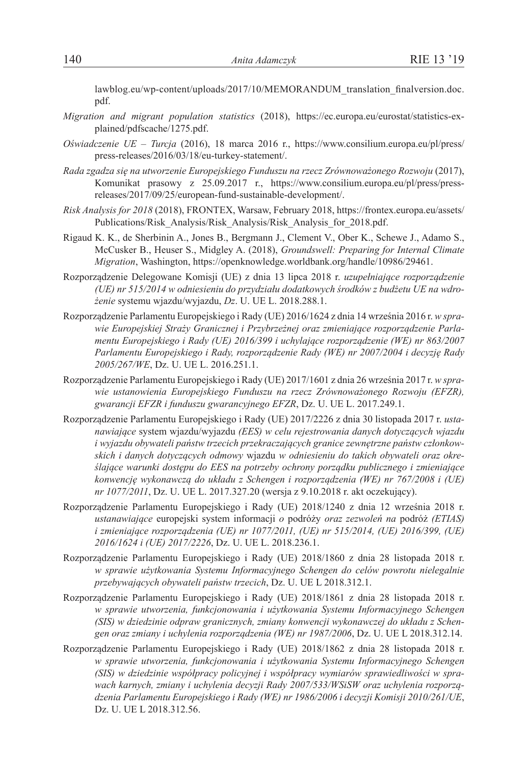lawblog.eu/wp-content/uploads/2017/10/MEMORANDUM\_translation\_finalversion.doc. pdf.

- *Migration and migrant population statistics* (2018), https://ec.europa.eu/eurostat/statistics-explained/pdfscache/1275.pdf.
- *Oświadczenie UE Turcja* (2016), 18 marca 2016 r., https://www.consilium.europa.eu/pl/press/ press-releases/2016/03/18/eu-turkey-statement/.
- *Rada zgadza się na utworzenie Europejskiego Funduszu na rzecz Zrównoważonego Rozwoju* (2017), Komunikat prasowy z 25.09.2017 r., https://www.consilium.europa.eu/pl/press/pressreleases/2017/09/25/european-fund-sustainable-development/.
- *Risk Analysis for 2018* (2018), FRONTEX, Warsaw, February 2018, https://frontex.europa.eu/assets/ Publications/Risk\_Analysis/Risk\_Analysis/Risk\_Analysis\_for\_2018.pdf.
- Rigaud K. K., de Sherbinin A., Jones B., Bergmann J., Clement V., Ober K., Schewe J., Adamo S., McCusker B., Heuser S., Midgley A. (2018), *Groundswell: Preparing for Internal Climate Migration*, Washington, https://openknowledge.worldbank.org/handle/10986/29461.
- Rozporządzenie Delegowane Komisji (UE) z dnia 13 lipca 2018 r. *uzupełniające rozporządzenie (UE) nr 515/2014 w odniesieniu do przydziału dodatkowych środków z budżetu UE na wdrożenie* systemu wjazdu/wyjazdu, *Dz*. U. UE L. 2018.288.1.
- Rozporządzenie Parlamentu Europejskiego i Rady (UE) 2016/1624 z dnia 14 września 2016 r. *w sprawie Europejskiej Straży Granicznej i Przybrzeżnej oraz zmieniające rozporządzenie Parlamentu Europejskiego i Rady (UE) 2016/399 i uchylające rozporządzenie (WE) nr 863/2007 Parlamentu Europejskiego i Rady, rozporządzenie Rady (WE) nr 2007/2004 i decyzję Rady 2005/267/WE*, Dz. U. UE L. 2016.251.1.
- Rozporządzenie Parlamentu Europejskiego i Rady (UE) 2017/1601 z dnia 26 września 2017 r. *w sprawie ustanowienia Europejskiego Funduszu na rzecz Zrównoważonego Rozwoju (EFZR), gwarancji EFZR i funduszu gwarancyjnego EFZR*, Dz. U. UE L. 2017.249.1.
- Rozporządzenie Parlamentu Europejskiego i Rady (UE) 2017/2226 z dnia 30 listopada 2017 r. *ustanawiające* system wjazdu/wyjazdu *(EES) w celu rejestrowania danych dotyczących wjazdu i wyjazdu obywateli państw trzecich przekraczających granice zewnętrzne państw członkowskich i danych dotyczących odmowy* wjazdu *w odniesieniu do takich obywateli oraz określające warunki dostępu do EES na potrzeby ochrony porządku publicznego i zmieniające konwencję wykonawczą do układu z Schengen i rozporządzenia (WE) nr 767/2008 i (UE) nr 1077/2011*, Dz. U. UE L. 2017.327.20 (wersja z 9.10.2018 r. akt oczekujący).
- Rozporządzenie Parlamentu Europejskiego i Rady (UE) 2018/1240 z dnia 12 września 2018 r. *ustanawiające* europejski system informacji *o* podróży *oraz zezwoleń na* podróż *(ETIAS) i zmieniające rozporządzenia (UE) nr 1077/2011, (UE) nr 515/2014, (UE) 2016/399, (UE) 2016/1624 i (UE) 2017/2226*, Dz. U. UE L. 2018.236.1.
- Rozporządzenie Parlamentu Europejskiego i Rady (UE) 2018/1860 z dnia 28 listopada 2018 r. *w sprawie użytkowania Systemu Informacyjnego Schengen do celów powrotu nielegalnie przebywających obywateli państw trzecich*, Dz. U. UE L 2018.312.1.
- Rozporządzenie Parlamentu Europejskiego i Rady (UE) 2018/1861 z dnia 28 listopada 2018 r. *w sprawie utworzenia, funkcjonowania i użytkowania Systemu Informacyjnego Schengen (SIS) w dziedzinie odpraw granicznych, zmiany konwencji wykonawczej do układu z Schengen oraz zmiany i uchylenia rozporządzenia (WE) nr 1987/2006*, Dz. U. UE L 2018.312.14.
- Rozporządzenie Parlamentu Europejskiego i Rady (UE) 2018/1862 z dnia 28 listopada 2018 r. *w sprawie utworzenia, funkcjonowania i użytkowania Systemu Informacyjnego Schengen (SIS) w dziedzinie współpracy policyjnej i współpracy wymiarów sprawiedliwości w sprawach karnych, zmiany i uchylenia decyzji Rady 2007/533/WSiSW oraz uchylenia rozporządzenia Parlamentu Europejskiego i Rady (WE) nr 1986/2006 i decyzji Komisji 2010/261/UE*, Dz. U. UE L 2018.312.56.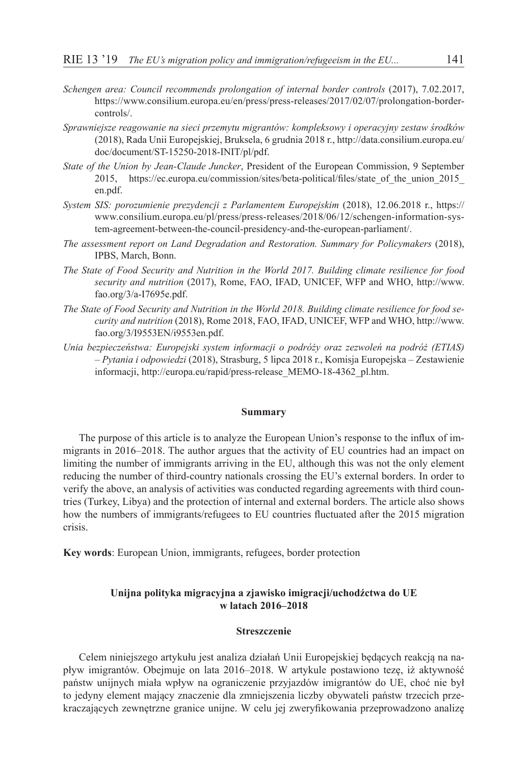- *Schengen area: Council recommends prolongation of internal border controls* (2017), 7.02.2017, https://www.consilium.europa.eu/en/press/press-releases/2017/02/07/prolongation-bordercontrols/.
- *Sprawniejsze reagowanie na sieci przemytu migrantów: kompleksowy i operacyjny zestaw środków* (2018), Rada Unii Europejskiej, Bruksela, 6 grudnia 2018 r., http://data.consilium.europa.eu/ doc/document/ST-15250-2018-INIT/pl/pdf.
- *State of the Union by Jean-Claude Juncker*, President of the European Commission, 9 September 2015, https://ec.europa.eu/commission/sites/beta-political/files/state\_of\_the\_union\_2015\_ en.pdf.
- *System SIS: porozumienie prezydencji z Parlamentem Europejskim* (2018), 12.06.2018 r., https:// www.consilium.europa.eu/pl/press/press-releases/2018/06/12/schengen-information-system-agreement-between-the-council-presidency-and-the-european-parliament/.
- *The assessment report on Land Degradation and Restoration. Summary for Policymakers* (2018), IPBS, March, Bonn.
- *The State of Food Security and Nutrition in the World 2017. Building climate resilience for food security and nutrition* (2017), Rome, FAO, IFAD, UNICEF, WFP and WHO, http://www. fao.org/3/a-I7695e.pdf.
- *The State of Food Security and Nutrition in the World 2018. Building climate resilience for food security and nutrition* (2018), Rome 2018, FAO, IFAD, UNICEF, WFP and WHO, http://www. fao.org/3/I9553EN/i9553en.pdf.
- *Unia bezpieczeństwa: Europejski system informacji o podróży oraz zezwoleń na podróż (ETIAS) – Pytania i odpowiedzi* (2018), Strasburg, 5 lipca 2018 r., Komisja Europejska – Zestawienie informacji, http://europa.eu/rapid/press-release\_MEMO-18-4362\_pl.htm.

#### **Summary**

The purpose of this article is to analyze the European Union's response to the influx of immigrants in 2016–2018. The author argues that the activity of EU countries had an impact on limiting the number of immigrants arriving in the EU, although this was not the only element reducing the number of third-country nationals crossing the EU's external borders. In order to verify the above, an analysis of activities was conducted regarding agreements with third countries (Turkey, Libya) and the protection of internal and external borders. The article also shows how the numbers of immigrants/refugees to EU countries fluctuated after the 2015 migration crisis.

**Key words**: European Union, immigrants, refugees, border protection

#### **Unijna polityka migracyjna a zjawisko imigracji/uchodźctwa do UE w latach 2016–2018**

#### **Streszczenie**

Celem niniejszego artykułu jest analiza działań Unii Europejskiej będących reakcją na napływ imigrantów. Obejmuje on lata 2016–2018. W artykule postawiono tezę, iż aktywność państw unijnych miała wpływ na ograniczenie przyjazdów imigrantów do UE, choć nie był to jedyny element mający znaczenie dla zmniejszenia liczby obywateli państw trzecich przekraczających zewnętrzne granice unijne. W celu jej zweryfikowania przeprowadzono analizę